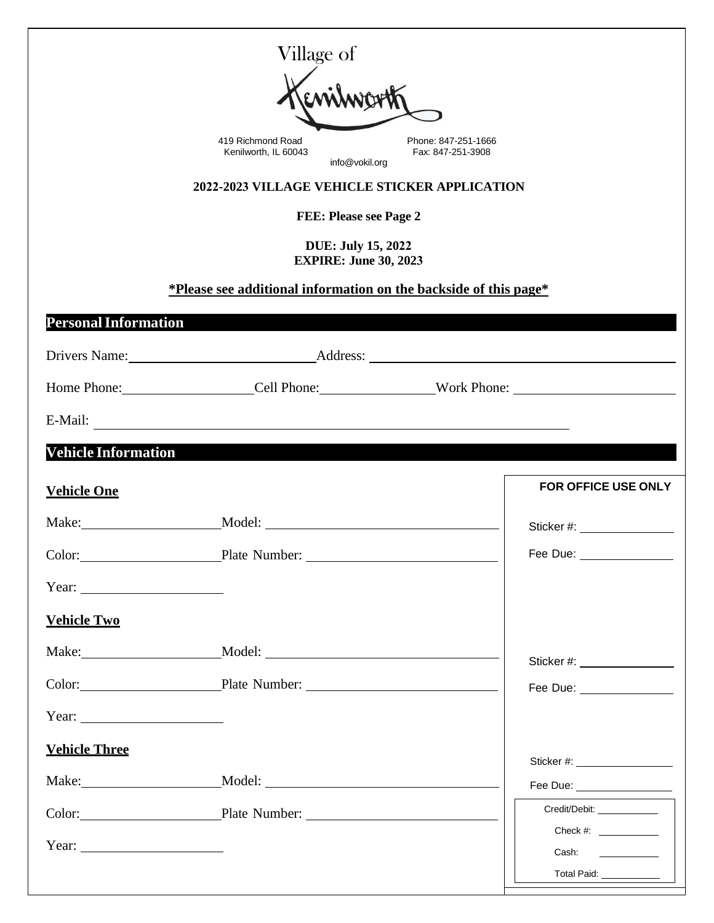|                                                                                                                                                                                                                                                                                                                                                                                                                                                   | Village of                                                       |  |                                                                                                                |  |  |  |  |
|---------------------------------------------------------------------------------------------------------------------------------------------------------------------------------------------------------------------------------------------------------------------------------------------------------------------------------------------------------------------------------------------------------------------------------------------------|------------------------------------------------------------------|--|----------------------------------------------------------------------------------------------------------------|--|--|--|--|
|                                                                                                                                                                                                                                                                                                                                                                                                                                                   |                                                                  |  |                                                                                                                |  |  |  |  |
| 419 Richmond Road<br>Phone: 847-251-1666<br>Kenilworth, IL 60043<br>Fax: 847-251-3908                                                                                                                                                                                                                                                                                                                                                             |                                                                  |  |                                                                                                                |  |  |  |  |
| info@vokil.org<br>2022-2023 VILLAGE VEHICLE STICKER APPLICATION                                                                                                                                                                                                                                                                                                                                                                                   |                                                                  |  |                                                                                                                |  |  |  |  |
| <b>FEE: Please see Page 2</b>                                                                                                                                                                                                                                                                                                                                                                                                                     |                                                                  |  |                                                                                                                |  |  |  |  |
| <b>DUE: July 15, 2022</b>                                                                                                                                                                                                                                                                                                                                                                                                                         |                                                                  |  |                                                                                                                |  |  |  |  |
| <b>EXPIRE: June 30, 2023</b>                                                                                                                                                                                                                                                                                                                                                                                                                      |                                                                  |  |                                                                                                                |  |  |  |  |
|                                                                                                                                                                                                                                                                                                                                                                                                                                                   | *Please see additional information on the backside of this page* |  |                                                                                                                |  |  |  |  |
| <b>Personal Information</b>                                                                                                                                                                                                                                                                                                                                                                                                                       |                                                                  |  |                                                                                                                |  |  |  |  |
|                                                                                                                                                                                                                                                                                                                                                                                                                                                   |                                                                  |  |                                                                                                                |  |  |  |  |
|                                                                                                                                                                                                                                                                                                                                                                                                                                                   | Home Phone: Cell Phone: Work Phone: Work Phone:                  |  |                                                                                                                |  |  |  |  |
|                                                                                                                                                                                                                                                                                                                                                                                                                                                   |                                                                  |  |                                                                                                                |  |  |  |  |
| <b>Vehicle Information</b>                                                                                                                                                                                                                                                                                                                                                                                                                        |                                                                  |  |                                                                                                                |  |  |  |  |
| <b>Vehicle One</b>                                                                                                                                                                                                                                                                                                                                                                                                                                |                                                                  |  | <b>FOR OFFICE USE ONLY</b>                                                                                     |  |  |  |  |
|                                                                                                                                                                                                                                                                                                                                                                                                                                                   | Make: Model:                                                     |  | Sticker #: And All Controllers and All Controllers and All Controllers and All Controllers and All Controllers |  |  |  |  |
|                                                                                                                                                                                                                                                                                                                                                                                                                                                   | Color: Plate Number: 2001                                        |  | Fee Due: ________________                                                                                      |  |  |  |  |
| Year:                                                                                                                                                                                                                                                                                                                                                                                                                                             |                                                                  |  |                                                                                                                |  |  |  |  |
| <b>Vehicle Two</b>                                                                                                                                                                                                                                                                                                                                                                                                                                |                                                                  |  |                                                                                                                |  |  |  |  |
|                                                                                                                                                                                                                                                                                                                                                                                                                                                   |                                                                  |  | Sticker #: _________________                                                                                   |  |  |  |  |
|                                                                                                                                                                                                                                                                                                                                                                                                                                                   | Color: Plate Number: 2001                                        |  | Fee Due: _______________                                                                                       |  |  |  |  |
| Year: $\qquad \qquad$                                                                                                                                                                                                                                                                                                                                                                                                                             |                                                                  |  |                                                                                                                |  |  |  |  |
| <b>Vehicle Three</b>                                                                                                                                                                                                                                                                                                                                                                                                                              |                                                                  |  | Sticker #: ____________________                                                                                |  |  |  |  |
|                                                                                                                                                                                                                                                                                                                                                                                                                                                   |                                                                  |  | Fee Due: _________________                                                                                     |  |  |  |  |
|                                                                                                                                                                                                                                                                                                                                                                                                                                                   | Color: Plate Number: 2001                                        |  | Credit/Debit:                                                                                                  |  |  |  |  |
| Year: $\frac{1}{\sqrt{1-\frac{1}{2}} \cdot \frac{1}{2} \cdot \frac{1}{2} \cdot \frac{1}{2} \cdot \frac{1}{2} \cdot \frac{1}{2} \cdot \frac{1}{2} \cdot \frac{1}{2} \cdot \frac{1}{2} \cdot \frac{1}{2} \cdot \frac{1}{2} \cdot \frac{1}{2} \cdot \frac{1}{2} \cdot \frac{1}{2} \cdot \frac{1}{2} \cdot \frac{1}{2} \cdot \frac{1}{2} \cdot \frac{1}{2} \cdot \frac{1}{2} \cdot \frac{1}{2} \cdot \frac{1}{2} \cdot \frac{1}{2} \cdot \frac{1}{2}$ |                                                                  |  | Check #:                                                                                                       |  |  |  |  |
|                                                                                                                                                                                                                                                                                                                                                                                                                                                   |                                                                  |  | Cash:<br>Total Paid: ____________                                                                              |  |  |  |  |